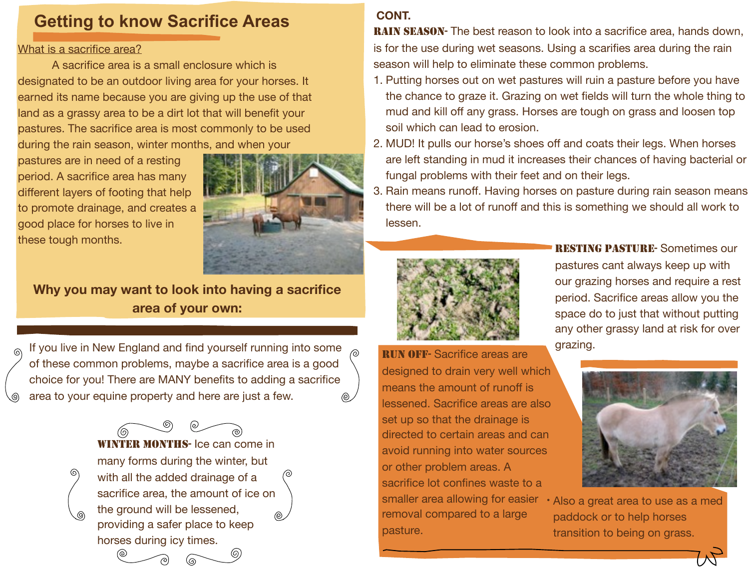# **Getting to know Sacrifice Areas**

#### What is a sacrifice area?

A sacrifice area is a small enclosure which is designated to be an outdoor living area for your horses. It earned its name because you are giving up the use of that land as a grassy area to be a dirt lot that will benefit your pastures. The sacrifice area is most commonly to be used during the rain season, winter months, and when your

pastures are in need of a resting period. A sacrifice area has many different layers of footing that help to promote drainage, and creates a good place for horses to live in these tough months.

⊚



**Why you may want to look into having a sacrifice area of your own:**

If you live in New England and find yourself running into some of these common problems, maybe a sacrifice area is a good choice for you! There are MANY benefits to adding a sacrifice area to your equine property and here are just a few.

> WINTER MONTHS- Ice can come in many forms during the winter, but ல with all the added drainage of a sacrifice area, the amount of ice on the ground will be lessened, providing a safer place to keep horses during icy times.

## **CONT.**

**RAIN SEASON-** The best reason to look into a sacrifice area, hands down, is for the use during wet seasons. Using a scarifies area during the rain season will help to eliminate these common problems.

- 1. Putting horses out on wet pastures will ruin a pasture before you have the chance to graze it. Grazing on wet fields will turn the whole thing to mud and kill off any grass. Horses are tough on grass and loosen top soil which can lead to erosion.
- 2. MUD! It pulls our horse's shoes off and coats their legs. When horses are left standing in mud it increases their chances of having bacterial or fungal problems with their feet and on their legs.
- 3. Rain means runoff. Having horses on pasture during rain season means there will be a lot of runoff and this is something we should all work to lessen.



RESTING PASTURE- Sometimes our pastures cant always keep up with our grazing horses and require a rest period. Sacrifice areas allow you the space do to just that without putting any other grassy land at risk for over grazing.

RUN OFF- Sacrifice areas are designed to drain very well which means the amount of runoff is lessened. Sacrifice areas are also set up so that the drainage is directed to certain areas and can avoid running into water sources or other problem areas. A sacrifice lot confines waste to a smaller area allowing for easier · Also a great area to use as a med removal compared to a large pasture.



paddock or to help horses transition to being on grass.